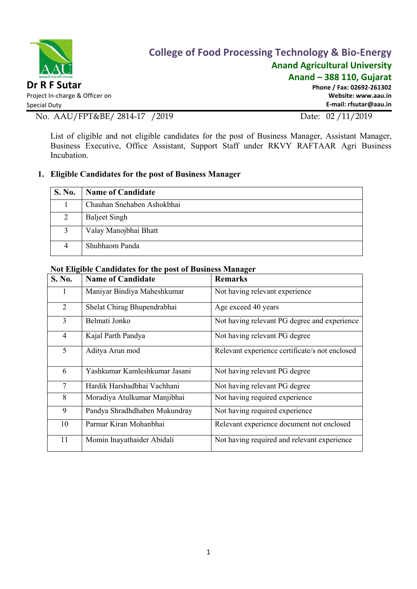

# College of Food Processing Technology & Bio-Energy Anand Agricultural University

Anand – 388 110, Gujarat

Phone / Fax: 02692-261302 Website: www.aau.in E-mail: rfsutar@aau.in

No. AAU/FPT&BE/ 2814-17 /2019 Date: 02 /11/2019

List of eligible and not eligible candidates for the post of Business Manager, Assistant Manager, Business Executive, Office Assistant, Support Staff under RKVY RAFTAAR Agri Business Incubation.

### 1. Eligible Candidates for the post of Business Manager

| <b>S. No.</b> | <b>Name of Candidate</b>   |
|---------------|----------------------------|
|               | Chauhan Snehaben Ashokbhai |
| 2             | <b>Baljeet Singh</b>       |
|               | Valay Manojbhai Bhatt      |
|               | Shubhaom Panda             |

#### Not Eligible Candidates for the post of Business Manager

| S. No.         | <b>Name of Candidate</b>      | <b>Remarks</b>                                 |
|----------------|-------------------------------|------------------------------------------------|
|                | Maniyar Bindiya Maheshkumar   | Not having relevant experience                 |
| $\overline{2}$ | Shelat Chirag Bhupendrabhai   | Age exceed 40 years                            |
| 3              | Belmati Jonko                 | Not having relevant PG degree and experience   |
| $\overline{4}$ | Kajal Parth Pandya            | Not having relevant PG degree                  |
| 5              | Aditya Arun mod               | Relevant experience certificate/s not enclosed |
| 6              | Yashkumar Kamleshkumar Jasani | Not having relevant PG degree                  |
| 7              | Hardik Harshadbhai Vachhani   | Not having relevant PG degree                  |
| 8              | Moradiya Atulkumar Manjibhai  | Not having required experience                 |
| 9              | Pandya Shradhdhaben Mukundray | Not having required experience                 |
| 10             | Parmar Kiran Mohanbhai        | Relevant experience document not enclosed      |
| 11             | Momin Inayathaider Abidali    | Not having required and relevant experience    |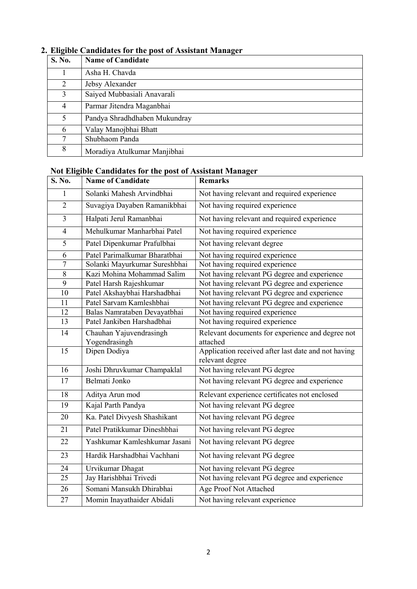| 0<br>S. No.    | <b>Name of Candidate</b>      |
|----------------|-------------------------------|
|                | Asha H. Chavda                |
| $\overline{2}$ | Jebsy Alexander               |
| 3              | Saiyed Mubbasiali Anavarali   |
| $\overline{4}$ | Parmar Jitendra Maganbhai     |
| 5              | Pandya Shradhdhaben Mukundray |
| 6              | Valay Manojbhai Bhatt         |
| 7              | Shubhaom Panda                |
| 8              | Moradiya Atulkumar Manjibhai  |

### 2. Eligible Candidates for the post of Assistant Manager

#### Not Eligible Candidates for the post of Assistant Manager

| S. No.         | <b>Name of Candidate</b>      | <b>Remarks</b>                                      |
|----------------|-------------------------------|-----------------------------------------------------|
| 1              | Solanki Mahesh Arvindbhai     | Not having relevant and required experience         |
| $\overline{2}$ | Suvagiya Dayaben Ramanikbhai  | Not having required experience                      |
| $\overline{3}$ | Halpati Jerul Ramanbhai       | Not having relevant and required experience         |
| $\overline{4}$ | Mehulkumar Manharbhai Patel   | Not having required experience                      |
| 5              | Patel Dipenkumar Prafulbhai   | Not having relevant degree                          |
| 6              | Patel Parimalkumar Bharatbhai | Not having required experience                      |
| $\tau$         | Solanki Mayurkumar Sureshbhai | Not having required experience                      |
| 8              | Kazi Mohina Mohammad Salim    | Not having relevant PG degree and experience        |
| $\overline{9}$ | Patel Harsh Rajeshkumar       | Not having relevant PG degree and experience        |
| 10             | Patel Akshaybhai Harshadbhai  | Not having relevant PG degree and experience        |
| 11             | Patel Sarvam Kamleshbhai      | Not having relevant PG degree and experience        |
| 12             | Balas Namrataben Devayatbhai  | Not having required experience                      |
| 13             | Patel Jankiben Harshadbhai    | Not having required experience                      |
| 14             | Chauhan Yajuvendrasingh       | Relevant documents for experience and degree not    |
|                | Yogendrasingh                 | attached                                            |
| 15             | Dipen Dodiya                  | Application received after last date and not having |
|                |                               | relevant degree                                     |
| 16             | Joshi Dhruvkumar Champaklal   | Not having relevant PG degree                       |
| 17             | Belmati Jonko                 | Not having relevant PG degree and experience        |
| 18             | Aditya Arun mod               | Relevant experience certificates not enclosed       |
| 19             | Kajal Parth Pandya            | Not having relevant PG degree                       |
| 20             | Ka. Patel Divyesh Shashikant  | Not having relevant PG degree                       |
| 21             | Patel Pratikkumar Dineshbhai  | Not having relevant PG degree                       |
| 22             | Yashkumar Kamleshkumar Jasani | Not having relevant PG degree                       |
| 23             | Hardik Harshadbhai Vachhani   | Not having relevant PG degree                       |
| 24             | Urvikumar Dhagat              | Not having relevant PG degree                       |
| 25             | Jay Harishbhai Trivedi        | Not having relevant PG degree and experience        |
| 26             | Somani Mansukh Dhirabhai      | Age Proof Not Attached                              |
| 27             | Momin Inayathaider Abidali    | Not having relevant experience                      |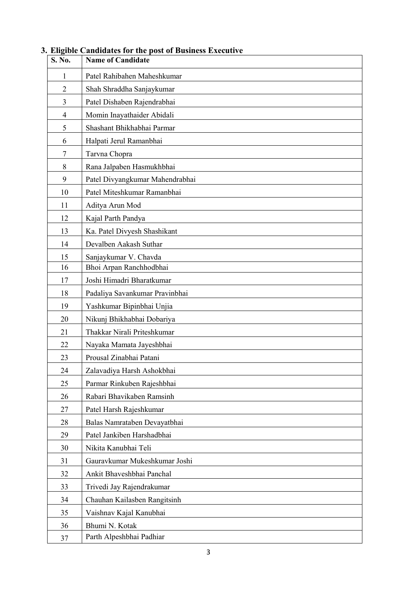| S. No.         | <b>Name of Candidate</b>        |
|----------------|---------------------------------|
| 1              | Patel Rahibahen Maheshkumar     |
| $\overline{2}$ | Shah Shraddha Sanjaykumar       |
| 3              | Patel Dishaben Rajendrabhai     |
| 4              | Momin Inayathaider Abidali      |
| 5              | Shashant Bhikhabhai Parmar      |
| 6              | Halpati Jerul Ramanbhai         |
| 7              | Tarvna Chopra                   |
| 8              | Rana Jalpaben Hasmukhbhai       |
| 9              | Patel Divyangkumar Mahendrabhai |
| 10             | Patel Miteshkumar Ramanbhai     |
| 11             | Aditya Arun Mod                 |
| 12             | Kajal Parth Pandya              |
| 13             | Ka. Patel Divyesh Shashikant    |
| 14             | Devalben Aakash Suthar          |
| 15             | Sanjaykumar V. Chavda           |
| 16             | Bhoi Arpan Ranchhodbhai         |
| 17             | Joshi Himadri Bharatkumar       |
| 18             | Padaliya Savankumar Pravinbhai  |
| 19             | Yashkumar Bipinbhai Unjia       |
| 20             | Nikunj Bhikhabhai Dobariya      |
| 21             | Thakkar Nirali Priteshkumar     |
| 22             | Nayaka Mamata Jayeshbhai        |
| 23             | Prousal Zinabhai Patani         |
| 24             | Zalavadiya Harsh Ashokbhai      |
| 25             | Parmar Rinkuben Rajeshbhai      |
| 26             | Rabari Bhavikaben Ramsinh       |
| 27             | Patel Harsh Rajeshkumar         |
| 28             | Balas Namrataben Devayatbhai    |
| 29             | Patel Jankiben Harshadbhai      |
| 30             | Nikita Kanubhai Teli            |
| 31             | Gauravkumar Mukeshkumar Joshi   |
| 32             | Ankit Bhaveshbhai Panchal       |
| 33             | Trivedi Jay Rajendrakumar       |
| 34             | Chauhan Kailasben Rangitsinh    |
| 35             | Vaishnav Kajal Kanubhai         |
| 36             | Bhumi N. Kotak                  |
| 37             | Parth Alpeshbhai Padhiar        |

### 3. Eligible Candidates for the post of Business Executive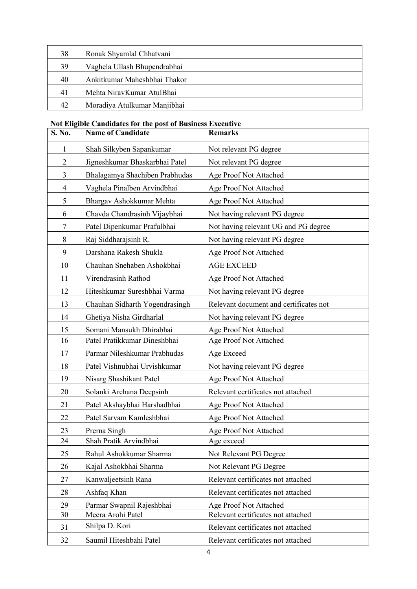| 38 | Ronak Shyamlal Chhatvani     |
|----|------------------------------|
| 39 | Vaghela Ullash Bhupendrabhai |
| 40 | Ankitkumar Maheshbhai Thakor |
| 41 | Mehta NiravKumar AtulBhai    |
| 42 | Moradiya Atulkumar Manjibhai |

### Not Eligible Candidates for the post of Business Executive

| S. No.         | <b>Name of Candidate</b>       | <b>Remarks</b>                         |
|----------------|--------------------------------|----------------------------------------|
| 1              | Shah Silkyben Sapankumar       | Not relevant PG degree                 |
| $\overline{2}$ | Jigneshkumar Bhaskarbhai Patel | Not relevant PG degree                 |
| $\overline{3}$ | Bhalagamya Shachiben Prabhudas | Age Proof Not Attached                 |
| $\overline{4}$ | Vaghela Pinalben Arvindbhai    | Age Proof Not Attached                 |
| 5              | Bhargav Ashokkumar Mehta       | Age Proof Not Attached                 |
| 6              | Chavda Chandrasinh Vijaybhai   | Not having relevant PG degree          |
| $\tau$         | Patel Dipenkumar Prafulbhai    | Not having relevant UG and PG degree   |
| 8              | Raj Siddharajsinh R.           | Not having relevant PG degree          |
| 9              | Darshana Rakesh Shukla         | Age Proof Not Attached                 |
| 10             | Chauhan Snehaben Ashokbhai     | <b>AGE EXCEED</b>                      |
| 11             | Virendrasinh Rathod            | Age Proof Not Attached                 |
| 12             | Hiteshkumar Sureshbhai Varma   | Not having relevant PG degree          |
| 13             | Chauhan Sidharth Yogendrasingh | Relevant document and certificates not |
| 14             | Ghetiya Nisha Girdharlal       | Not having relevant PG degree          |
| 15             | Somani Mansukh Dhirabhai       | Age Proof Not Attached                 |
| 16             | Patel Pratikkumar Dineshbhai   | Age Proof Not Attached                 |
| 17             | Parmar Nileshkumar Prabhudas   | Age Exceed                             |
| 18             | Patel Vishnubhai Urvishkumar   | Not having relevant PG degree          |
| 19             | Nisarg Shashikant Patel        | Age Proof Not Attached                 |
| 20             | Solanki Archana Deepsinh       | Relevant certificates not attached     |
| 21             | Patel Akshaybhai Harshadbhai   | Age Proof Not Attached                 |
| 22             | Patel Sarvam Kamleshbhai       | Age Proof Not Attached                 |
| 23             | Prerna Singh                   | Age Proof Not Attached                 |
| 24             | Shah Pratik Arvindbhai         | Age exceed                             |
| 25             | Rahul Ashokkumar Sharma        | Not Relevant PG Degree                 |
| 26             | Kajal Ashokbhai Sharma         | Not Relevant PG Degree                 |
| 27             | Kanwaljeetsinh Rana            | Relevant certificates not attached     |
| 28             | Ashfaq Khan                    | Relevant certificates not attached     |
| 29             | Parmar Swapnil Rajeshbhai      | Age Proof Not Attached                 |
| 30             | Meera Arohi Patel              | Relevant certificates not attached     |
| 31             | Shilpa D. Kori                 | Relevant certificates not attached     |
| 32             | Saumil Hiteshbahi Patel        | Relevant certificates not attached     |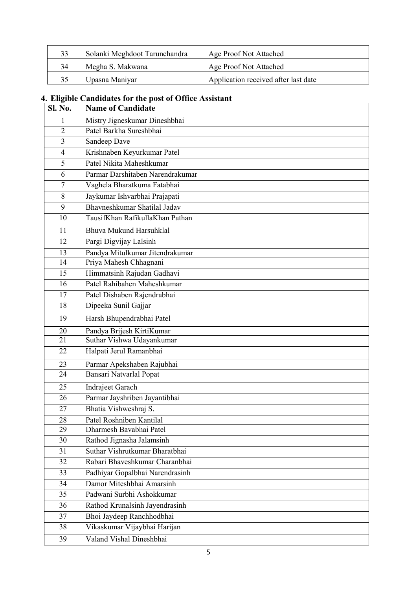| 33 | Solanki Meghdoot Tarunchandra | Age Proof Not Attached               |
|----|-------------------------------|--------------------------------------|
|    | Megha S. Makwana              | Age Proof Not Attached               |
|    | Upasna Maniyar                | Application received after last date |

## 4. Eligible Candidates for the post of Office Assistant

| Sl. No.        | <b>Name of Candidate</b>         |
|----------------|----------------------------------|
| 1              | Mistry Jigneskumar Dineshbhai    |
| $\overline{2}$ | Patel Barkha Sureshbhai          |
| $\overline{3}$ | Sandeep Dave                     |
| $\overline{4}$ | Krishnaben Keyurkumar Patel      |
| 5              | Patel Nikita Maheshkumar         |
| 6              | Parmar Darshitaben Narendrakumar |
| $\tau$         | Vaghela Bharatkuma Fatabhai      |
| 8              | Jaykumar Ishvarbhai Prajapati    |
| 9              | Bhayneshkumar Shatilal Jaday     |
| 10             | TausifKhan RafikullaKhan Pathan  |
| 11             | Bhuva Mukund Harsuhklal          |
| 12             | Pargi Digvijay Lalsinh           |
| 13             | Pandya Mitulkumar Jitendrakumar  |
| 14             | Priya Mahesh Chhagnani           |
| 15             | Himmatsinh Rajudan Gadhavi       |
| 16             | Patel Rahibahen Maheshkumar      |
| 17             | Patel Dishaben Rajendrabhai      |
| 18             | Dipeeka Sunil Gajjar             |
| 19             | Harsh Bhupendrabhai Patel        |
| 20             | Pandya Brijesh KirtiKumar        |
| 21             | Suthar Vishwa Udayankumar        |
| 22             | Halpati Jerul Ramanbhai          |
| 23             | Parmar Apekshaben Rajubhai       |
| 24             | Bansari Natvarlal Popat          |
| 25             | <b>Indrajeet Garach</b>          |
| 26             | Parmar Jayshriben Jayantibhai    |
| 27             | Bhatia Vishweshraj S.            |
| 28             | Patel Roshniben Kantilal         |
| 29             | Dharmesh Bavabhai Patel          |
| 30             | Rathod Jignasha Jalamsinh        |
| 31             | Suthar Vishrutkumar Bharatbhai   |
| 32             | Rabari Bhaveshkumar Charanbhai   |
| 33             | Padhiyar Gopalbhai Narendrasinh  |
| 34             | Damor Miteshbhai Amarsinh        |
| 35             | Padwani Surbhi Ashokkumar        |
| 36             | Rathod Krunalsinh Jayendrasinh   |
| 37             | Bhoi Jaydeep Ranchhodbhai        |
| 38             | Vikaskumar Vijaybhai Harijan     |
| 39             | Valand Vishal Dineshbhai         |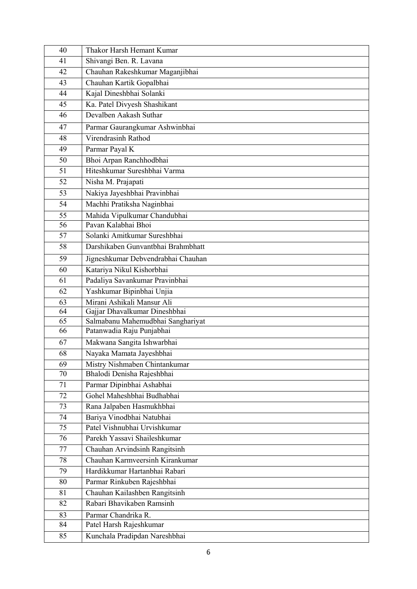| 40 | Thakor Harsh Hemant Kumar          |  |
|----|------------------------------------|--|
| 41 | Shivangi Ben. R. Lavana            |  |
| 42 | Chauhan Rakeshkumar Maganjibhai    |  |
| 43 | Chauhan Kartik Gopalbhai           |  |
| 44 | Kajal Dineshbhai Solanki           |  |
| 45 | Ka. Patel Divyesh Shashikant       |  |
| 46 | Devalben Aakash Suthar             |  |
| 47 | Parmar Gaurangkumar Ashwinbhai     |  |
| 48 | Virendrasinh Rathod                |  |
| 49 | Parmar Payal K                     |  |
| 50 | Bhoi Arpan Ranchhodbhai            |  |
| 51 | Hiteshkumar Sureshbhai Varma       |  |
| 52 | Nisha M. Prajapati                 |  |
| 53 | Nakiya Jayeshbhai Pravinbhai       |  |
| 54 | Machhi Pratiksha Naginbhai         |  |
| 55 | Mahida Vipulkumar Chandubhai       |  |
| 56 | Payan Kalabhai Bhoi                |  |
| 57 | Solanki Amitkumar Sureshbhai       |  |
| 58 | Darshikaben Gunvantbhai Brahmbhatt |  |
| 59 | Jigneshkumar Debvendrabhai Chauhan |  |
| 60 | Katariya Nikul Kishorbhai          |  |
| 61 | Padaliya Savankumar Pravinbhai     |  |
| 62 | Yashkumar Bipinbhai Unjia          |  |
| 63 | Mirani Ashikali Mansur Ali         |  |
| 64 | Gajjar Dhavalkumar Dineshbhai      |  |
| 65 | Salmabanu Mahemudbhai Sanghariyat  |  |
| 66 | Patanwadia Raju Punjabhai          |  |
| 67 | Makwana Sangita Ishwarbhai         |  |
| 68 | Nayaka Mamata Jayeshbhai           |  |
| 69 | Mistry Nishmaben Chintankumar      |  |
| 70 | Bhalodi Denisha Rajeshbhai         |  |
| 71 | Parmar Dipinbhai Ashabhai          |  |
| 72 | Gohel Maheshbhai Budhabhai         |  |
| 73 | Rana Jalpaben Hasmukhbhai          |  |
| 74 | Bariya Vinodbhai Natubhai          |  |
| 75 | Patel Vishnubhai Urvishkumar       |  |
| 76 | Parekh Yassavi Shaileshkumar       |  |
| 77 | Chauhan Arvindsinh Rangitsinh      |  |
| 78 | Chauhan Karmveersinh Kirankumar    |  |
| 79 | Hardikkumar Hartanbhai Rabari      |  |
| 80 | Parmar Rinkuben Rajeshbhai         |  |
| 81 | Chauhan Kailashben Rangitsinh      |  |
| 82 | Rabari Bhavikaben Ramsinh          |  |
| 83 | Parmar Chandrika R.                |  |
| 84 | Patel Harsh Rajeshkumar            |  |
| 85 | Kunchala Pradipdan Nareshbhai      |  |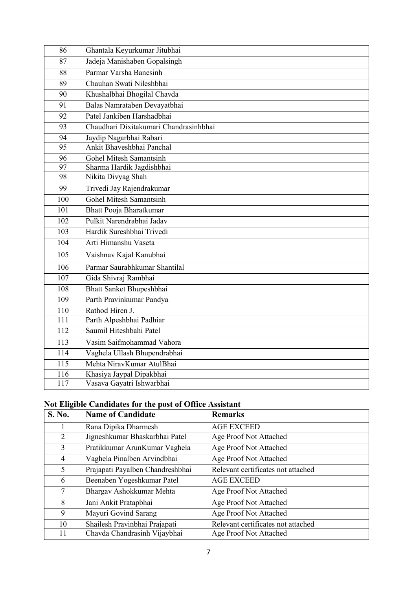| 86               | Ghantala Keyurkumar Jitubhai           |
|------------------|----------------------------------------|
| 87               | Jadeja Manishaben Gopalsingh           |
| 88               | Parmar Varsha Banesinh                 |
| 89               | Chauhan Swati Nileshbhai               |
| 90               | Khushalbhai Bhogilal Chavda            |
| 91               | Balas Namrataben Devayatbhai           |
| 92               | Patel Jankiben Harshadbhai             |
| 93               | Chaudhari Dixitakumari Chandrasinhbhai |
| 94               | Jaydip Nagarbhai Rabari                |
| 95               | Ankit Bhaveshbhai Panchal              |
| 96               | <b>Gohel Mitesh Samantsinh</b>         |
| 97               | Sharma Hardik Jagdishbhai              |
| 98               | Nikita Divyag Shah                     |
| 99               | Trivedi Jay Rajendrakumar              |
| 100              | <b>Gohel Mitesh Samantsinh</b>         |
| 101              | <b>Bhatt Pooja Bharatkumar</b>         |
| 102              | Pulkit Narendrabhai Jadav              |
| 103              | Hardik Sureshbhai Trivedi              |
| 104              | Arti Himanshu Vaseta                   |
| 105              | Vaishnav Kajal Kanubhai                |
| 106              | Parmar Saurabhkumar Shantilal          |
| 107              | Gida Shivraj Rambhai                   |
| 108              | Bhatt Sanket Bhupeshbhai               |
| 109              | Parth Pravinkumar Pandya               |
| 110              | Rathod Hiren J.                        |
| 111              | Parth Alpeshbhai Padhiar               |
| 112              | Saumil Hiteshbahi Patel                |
| $\overline{113}$ | Vasim Saifmohammad Vahora              |
| 114              | Vaghela Ullash Bhupendrabhai           |
| 115              | Mehta NirayKumar AtulBhai              |
| 116              | Khasiya Jaypal Dipakbhai               |
| 117              | Vasava Gayatri Ishwarbhai              |

## Not Eligible Candidates for the post of Office Assistant

| S. No. | <b>Name of Candidate</b>         | <b>Remarks</b>                     |
|--------|----------------------------------|------------------------------------|
|        | Rana Dipika Dharmesh             | <b>AGE EXCEED</b>                  |
| 2      | Jigneshkumar Bhaskarbhai Patel   | Age Proof Not Attached             |
| 3      | Pratikkumar ArunKumar Vaghela    | Age Proof Not Attached             |
| 4      | Vaghela Pinalben Arvindbhai      | Age Proof Not Attached             |
| 5      | Prajapati Payalben Chandreshbhai | Relevant certificates not attached |
| 6      | Beenaben Yogeshkumar Patel       | <b>AGE EXCEED</b>                  |
| 7      | Bhargav Ashokkumar Mehta         | Age Proof Not Attached             |
| 8      | Jani Ankit Pratapbhai            | Age Proof Not Attached             |
| 9      | Mayuri Govind Sarang             | Age Proof Not Attached             |
| 10     | Shailesh Pravinbhai Prajapati    | Relevant certificates not attached |
| 11     | Chavda Chandrasinh Vijaybhai     | Age Proof Not Attached             |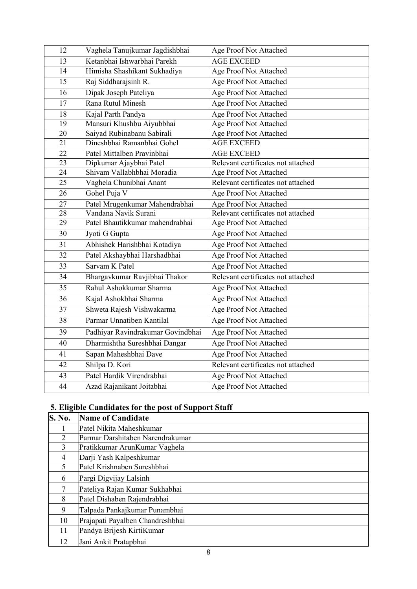| 12 | Vaghela Tanujkumar Jagdishbhai    | Age Proof Not Attached             |
|----|-----------------------------------|------------------------------------|
| 13 | Ketanbhai Ishwarbhai Parekh       | <b>AGE EXCEED</b>                  |
| 14 | Himisha Shashikant Sukhadiya      | Age Proof Not Attached             |
| 15 | Raj Siddharajsinh R.              | Age Proof Not Attached             |
| 16 | Dipak Joseph Pateliya             | Age Proof Not Attached             |
| 17 | Rana Rutul Minesh                 | Age Proof Not Attached             |
| 18 | Kajal Parth Pandya                | Age Proof Not Attached             |
| 19 | Mansuri Khushbu Aiyubbhai         | Age Proof Not Attached             |
| 20 | Saiyad Rubinabanu Sabirali        | Age Proof Not Attached             |
| 21 | Dineshbhai Ramanbhai Gohel        | <b>AGE EXCEED</b>                  |
| 22 | Patel Mittalben Pravinbhai        | <b>AGE EXCEED</b>                  |
| 23 | Dipkumar Ajaybhai Patel           | Relevant certificates not attached |
| 24 | Shivam Vallabhbhai Moradia        | Age Proof Not Attached             |
| 25 | Vaghela Chunibhai Anant           | Relevant certificates not attached |
| 26 | Gohel Puja V                      | Age Proof Not Attached             |
| 27 | Patel Mrugenkumar Mahendrabhai    | Age Proof Not Attached             |
| 28 | Vandana Navik Surani              | Relevant certificates not attached |
| 29 | Patel Bhautikkumar mahendrabhai   | Age Proof Not Attached             |
| 30 | Jyoti G Gupta                     | Age Proof Not Attached             |
| 31 | Abhishek Harishbhai Kotadiya      | Age Proof Not Attached             |
| 32 | Patel Akshaybhai Harshadbhai      | Age Proof Not Attached             |
| 33 | Sarvam K Patel                    | Age Proof Not Attached             |
| 34 | Bhargavkumar Ravjibhai Thakor     | Relevant certificates not attached |
| 35 | Rahul Ashokkumar Sharma           | Age Proof Not Attached             |
| 36 | Kajal Ashokbhai Sharma            | Age Proof Not Attached             |
| 37 | Shweta Rajesh Vishwakarma         | Age Proof Not Attached             |
| 38 | Parmar Unnatiben Kantilal         | Age Proof Not Attached             |
| 39 | Padhiyar Ravindrakumar Govindbhai | Age Proof Not Attached             |
| 40 | Dharmishtha Sureshbhai Dangar     | Age Proof Not Attached             |
| 41 | Sapan Maheshbhai Dave             | Age Proof Not Attached             |
| 42 | Shilpa D. Kori                    | Relevant certificates not attached |
| 43 | Patel Hardik Virendrabhai         | Age Proof Not Attached             |
| 44 | Azad Rajanikant Joitabhai         | Age Proof Not Attached             |

## 5. Eligible Candidates for the post of Support Staff

| <b>S. No.</b> | <b>Name of Candidate</b>         |
|---------------|----------------------------------|
|               | Patel Nikita Maheshkumar         |
| 2             | Parmar Darshitaben Narendrakumar |
| 3             | Pratikkumar ArunKumar Vaghela    |
| 4             | Darji Yash Kalpeshkumar          |
| 5             | Patel Krishnaben Sureshbhai      |
| 6             | Pargi Digvijay Lalsinh           |
| 7             | Pateliya Rajan Kumar Sukhabhai   |
| 8             | Patel Dishaben Rajendrabhai      |
| 9             | Talpada Pankajkumar Punambhai    |
| 10            | Prajapati Payalben Chandreshbhai |
| 11            | Pandya Brijesh KirtiKumar        |
| 12            | Jani Ankit Pratapbhai            |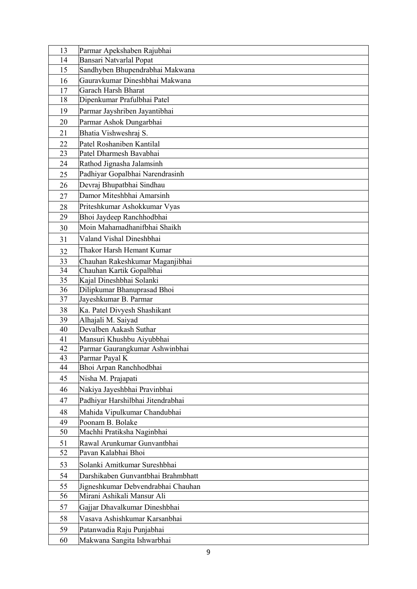| 13       | Parmar Apekshaben Rajubhai                                       |
|----------|------------------------------------------------------------------|
| 14       | Bansari Natvarlal Popat                                          |
| 15       | Sandhyben Bhupendrabhai Makwana                                  |
| 16       | Gauravkumar Dineshbhai Makwana                                   |
| 17       | Garach Harsh Bharat                                              |
| 18       | Dipenkumar Prafulbhai Patel                                      |
| 19       | Parmar Jayshriben Jayantibhai                                    |
| 20       | Parmar Ashok Dungarbhai                                          |
| 21       | Bhatia Vishweshraj S.                                            |
| 22       | Patel Roshaniben Kantilal                                        |
| 23       | Patel Dharmesh Bavabhai                                          |
| 24       | Rathod Jignasha Jalamsinh                                        |
| 25       | Padhiyar Gopalbhai Narendrasinh                                  |
| 26       | Devraj Bhupatbhai Sindhau                                        |
| 27       | Damor Miteshbhai Amarsinh                                        |
| 28       | Priteshkumar Ashokkumar Vyas                                     |
| 29       | Bhoi Jaydeep Ranchhodbhai                                        |
|          | Moin Mahamadhanifbhai Shaikh                                     |
| 30       |                                                                  |
| 31       | Valand Vishal Dineshbhai                                         |
| 32       | Thakor Harsh Hemant Kumar                                        |
| 33       | Chauhan Rakeshkumar Maganjibhai                                  |
| 34<br>35 | Chauhan Kartik Gopalbhai                                         |
| 36       | Kajal Dineshbhai Solanki                                         |
| 37       | Dilipkumar Bhanuprasad Bhoi<br>Jayeshkumar B. Parmar             |
| 38       |                                                                  |
| 39       | Ka. Patel Divyesh Shashikant<br>Alhajali M. Saiyad               |
| 40       | Devalben Aakash Suthar                                           |
| 41       | Mansuri Khushbu Aiyubbhai                                        |
| 42       | Parmar Gaurangkumar Ashwinbhai                                   |
| 43       | Parmar Payal K                                                   |
| 44       | Bhoi Arpan Ranchhodbhai                                          |
| 45       | Nisha M. Prajapati                                               |
| 46       | Nakiya Jayeshbhai Pravinbhai                                     |
| 47       | Padhiyar Harshilbhai Jitendrabhai                                |
| 48       | Mahida Vipulkumar Chandubhai                                     |
| 49       | Poonam B. Bolake                                                 |
| 50       | Machhi Pratiksha Naginbhai                                       |
| 51       | Rawal Arunkumar Gunvantbhai                                      |
| 52       | Pavan Kalabhai Bhoi                                              |
| 53       | Solanki Amitkumar Sureshbhai                                     |
|          | Darshikaben Gunvantbhai Brahmbhatt                               |
| 54       |                                                                  |
| 55<br>56 | Jigneshkumar Debvendrabhai Chauhan<br>Mirani Ashikali Mansur Ali |
|          |                                                                  |
| 57       | Gajjar Dhavalkumar Dineshbhai                                    |
| 58       | Vasava Ashishkumar Karsanbhai                                    |
| 59       | Patanwadia Raju Punjabhai                                        |
| 60       | Makwana Sangita Ishwarbhai                                       |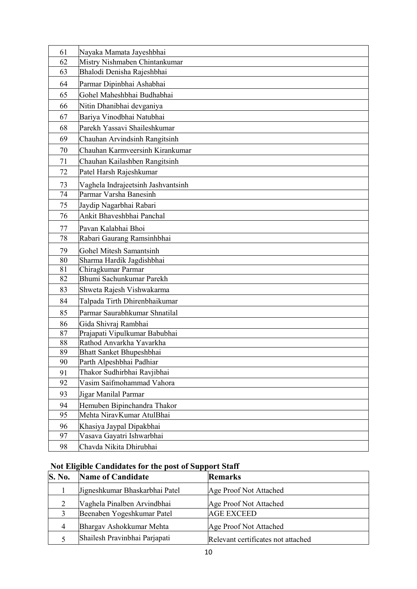| 61 | Nayaka Mamata Jayeshbhai           |
|----|------------------------------------|
| 62 | Mistry Nishmaben Chintankumar      |
| 63 | Bhalodi Denisha Rajeshbhai         |
| 64 | Parmar Dipinbhai Ashabhai          |
| 65 | Gohel Maheshbhai Budhabhai         |
| 66 | Nitin Dhanibhai devganiya          |
| 67 | Bariya Vinodbhai Natubhai          |
| 68 | Parekh Yassavi Shaileshkumar       |
| 69 | Chauhan Arvindsinh Rangitsinh      |
| 70 | Chauhan Karmveersinh Kirankumar    |
| 71 | Chauhan Kailashben Rangitsinh      |
| 72 | Patel Harsh Rajeshkumar            |
| 73 | Vaghela Indrajeetsinh Jashvantsinh |
| 74 | Parmar Varsha Banesinh             |
| 75 | Jaydip Nagarbhai Rabari            |
| 76 | Ankit Bhaveshbhai Panchal          |
| 77 | Pavan Kalabhai Bhoi                |
| 78 | Rabari Gaurang Ramsinhbhai         |
| 79 | <b>Gohel Mitesh Samantsinh</b>     |
| 80 | Sharma Hardik Jagdishbhai          |
| 81 | Chiragkumar Parmar                 |
| 82 | Bhumi Sachunkumar Parekh           |
| 83 | Shweta Rajesh Vishwakarma          |
| 84 | Talpada Tirth Dhirenbhaikumar      |
| 85 | Parmar Saurabhkumar Shnatilal      |
| 86 | Gida Shivraj Rambhai               |
| 87 | Prajapati Vipulkumar Babubhai      |
| 88 | Rathod Anvarkha Yavarkha           |
| 89 | Bhatt Sanket Bhupeshbhai           |
| 90 | Parth Alpeshbhai Padhiar           |
| 91 | Thakor Sudhirbhai Ravjibhai        |
| 92 | Vasim Saifmohammad Vahora          |
| 93 | Jigar Manilal Parmar               |
| 94 | Hemuben Bipinchandra Thakor        |
| 95 | Mehta NiravKumar AtulBhai          |
| 96 | Khasiya Jaypal Dipakbhai           |
| 97 | Vasava Gayatri Ishwarbhai          |
| 98 | Chavda Nikita Dhirubhai            |

## Not Eligible Candidates for the post of Support Staff

| <b>S. No.</b> | <b>Name of Candidate</b>       | <b>Remarks</b>                     |
|---------------|--------------------------------|------------------------------------|
|               | Jigneshkumar Bhaskarbhai Patel | Age Proof Not Attached             |
|               | Vaghela Pinalben Arvindbhai    | Age Proof Not Attached             |
|               | Beenaben Yogeshkumar Patel     | <b>AGE EXCEED</b>                  |
| 4             | Bhargav Ashokkumar Mehta       | Age Proof Not Attached             |
|               | Shailesh Pravinbhai Parjapati  | Relevant certificates not attached |